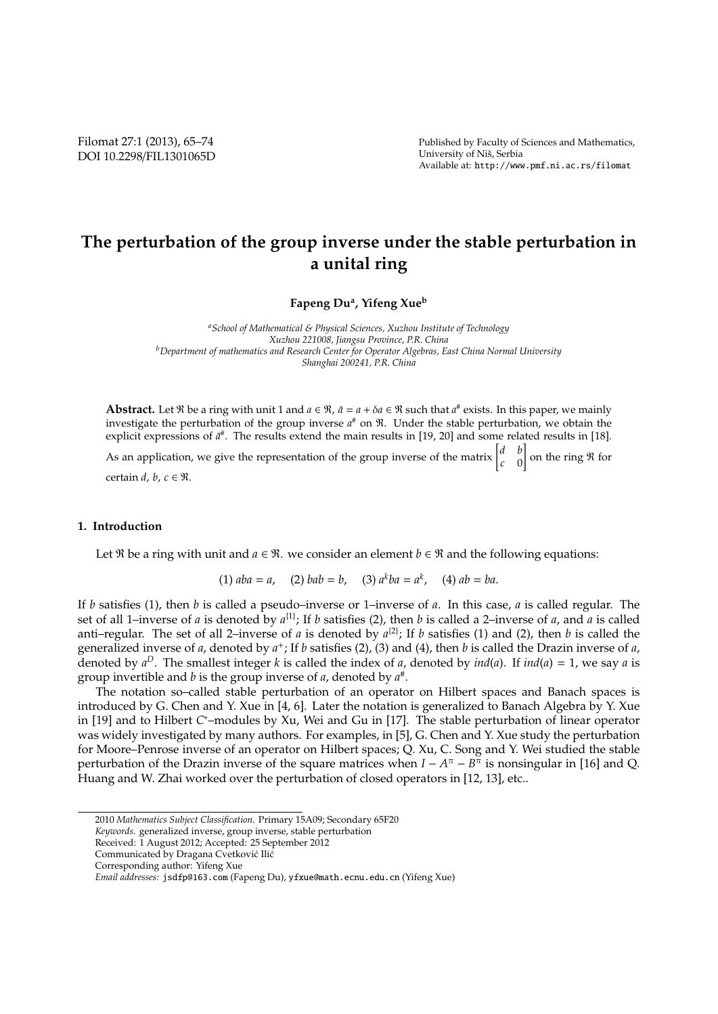# **The perturbation of the group inverse under the stable perturbation in a unital ring**

**Fapeng Du<sup>a</sup> , Yifeng Xue<sup>b</sup>**

*<sup>a</sup>School of Mathematical & Physical Sciences, Xuzhou Institute of Technology Xuzhou 221008, Jiangsu Province, P.R. China <sup>b</sup>Department of mathematics and Research Center for Operator Algebras, East China Normal University Shanghai 200241, P.R. China*

**Abstract.** Let  $\Re$  be a ring with unit 1 and  $a \in \Re$ ,  $\bar{a} = a + \delta a \in \Re$  such that  $a^{\#}$  exists. In this paper, we mainly investigate the perturbation of the group inverse *a* # on R. Under the stable perturbation, we obtain the explicit expressions of  $\bar{a}^*$ . The results extend the main results in [19, 20] and some related results in [18].

As an application, we give the representation of the group inverse of the matrix  $\begin{bmatrix} d & b \\ c & 0 \end{bmatrix}$ *c* 0  $\int$  on the ring  $\Re$  for

certain *d*, *b*, *c* ∈ R.

### **1. Introduction**

Let  $\Re$  be a ring with unit and  $a \in \Re$ . we consider an element  $b \in \Re$  and the following equations:

 $(1)$   $aba = a$ ,  $(2)$   $bab = b$ ,  $(3)$   $a^kba = a^k$ ,  $(4)$   $ab = ba$ .

If *b* satisfies (1), then *b* is called a pseudo–inverse or 1–inverse of *a*. In this case, *a* is called regular. The set of all 1–inverse of *a* is denoted by  $a^{1}$ ; If *b* satisfies (2), then *b* is called a 2–inverse of *a*, and *a* is called anti–regular. The set of all 2–inverse of *a* is denoted by  $a^{(2)}$ ; If *b* satisfies (1) and (2), then *b* is called the generalized inverse of *a*, denoted by  $a^+$ ; If *b* satisfies (2), (3) and (4), then *b* is called the Drazin inverse of *a*, denoted by  $a^D$ . The smallest integer *k* is called the index of *a*, denoted by *ind*(*a*). If *ind*(*a*) = 1, we say *a* is group invertible and *b* is the group inverse of *a*, denoted by *a* # .

The notation so–called stable perturbation of an operator on Hilbert spaces and Banach spaces is introduced by G. Chen and Y. Xue in [4, 6]. Later the notation is generalized to Banach Algebra by Y. Xue in [19] and to Hilbert *C* <sup>∗</sup>–modules by Xu, Wei and Gu in [17]. The stable perturbation of linear operator was widely investigated by many authors. For examples, in [5], G. Chen and Y. Xue study the perturbation for Moore–Penrose inverse of an operator on Hilbert spaces; Q. Xu, C. Song and Y. Wei studied the stable perturbation of the Drazin inverse of the square matrices when  $I - A^{\pi} - B^{\pi}$  is nonsingular in [16] and Q. Huang and W. Zhai worked over the perturbation of closed operators in [12, 13], etc..

<sup>2010</sup> *Mathematics Subject Classification*. Primary 15A09; Secondary 65F20

*Keywords*. generalized inverse, group inverse, stable perturbation

Received: 1 August 2012; Accepted: 25 September 2012

Communicated by Dragana Cvetković Ilić

Corresponding author: Yifeng Xue

*Email addresses:* jsdfp@163.com (Fapeng Du), yfxue@math.ecnu.edu.cn (Yifeng Xue)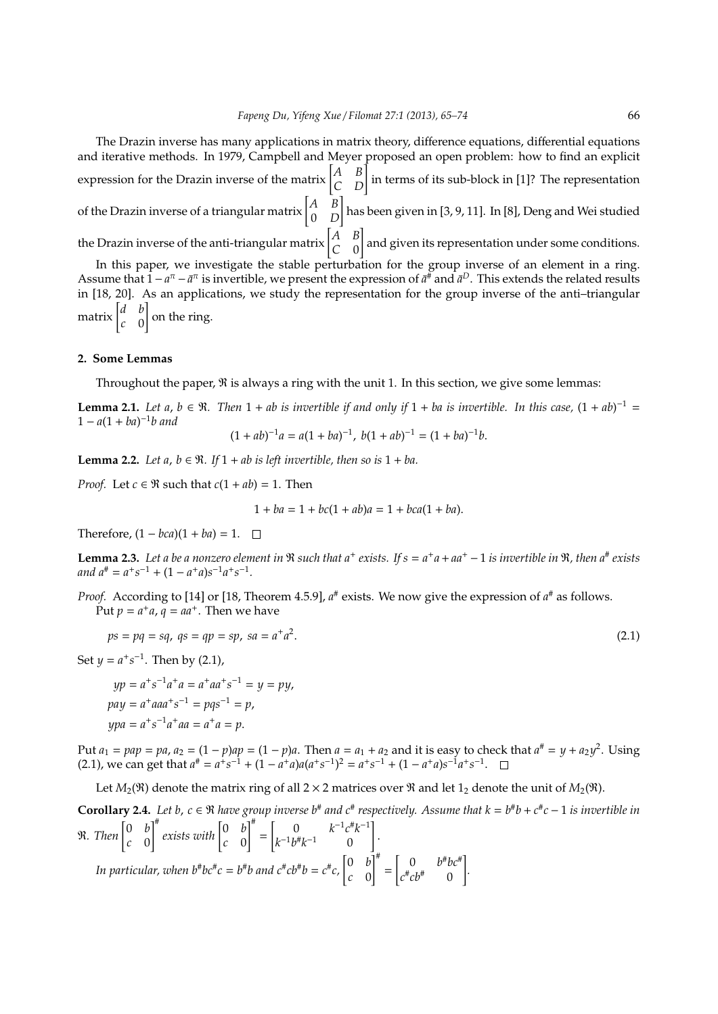The Drazin inverse has many applications in matrix theory, difference equations, differential equations and iterative methods. In 1979, Campbell and Meyer proposed an open problem: how to find an explicit expression for the Drazin inverse of the matrix  $\begin{bmatrix} A & B \\ C & D \end{bmatrix}$  in terms of its sub-block in [1]? The representation of the Drazin inverse of a triangular matrix  $\begin{bmatrix} A & B \\ 0 & D \end{bmatrix}$ 0 *D* ] has been given in [3, 9, 11]. In [8], Deng and Wei studied the Drazin inverse of the anti-triangular matrix  $\begin{bmatrix} A & B \\ C & 0 \end{bmatrix}$ *C* 0 ] and given its representation under some conditions. In this paper, we investigate the stable perturbation for the group inverse of an element in a ring. Assume that  $1 - a^{\pi} - \bar{a}^{\pi}$  is invertible, we present the expression of  $\bar{a}^{\#}$  and  $\bar{a}^D$ . This extends the related results in [18, 20]. As an applications, we study the representation for the group inverse of the anti–triangular matrix  $\begin{bmatrix} d & b \\ c & 0 \end{bmatrix}$ ] on the ring.

#### **2. Some Lemmas**

*c* 0

Throughout the paper,  $\Re$  is always a ring with the unit 1. In this section, we give some lemmas:

**Lemma 2.1.** Let a,  $b \in \Re$ . Then  $1 + ab$  is invertible if and only if  $1 + ba$  is invertible. In this case,  $(1 + ab)^{-1} =$ 1 − *a*(1 + *ba*) −1 *b and*

$$
(1+ab)^{-1}a = a(1+ba)^{-1}, \ b(1+ab)^{-1} = (1+ba)^{-1}b.
$$

**Lemma 2.2.** *Let a, b*  $\in \mathbb{R}$ *. If*  $1 + ab$  *is left invertible, then so is*  $1 + ba$ *.* 

*Proof.* Let  $c \in \Re$  such that  $c(1 + ab) = 1$ . Then

$$
1 + ba = 1 + bc(1 + ab)a = 1 + bca(1 + ba).
$$

Therefore,  $(1 - bca)(1 + ba) = 1$ .  $\Box$ 

**Lemma 2.3.** Let a be a nonzero element in  $\Re$  such that a<sup>+</sup> exists. If  $s = a^+a + aa^+ - 1$  is invertible in  $\Re$ , then  $a^*$  exists  $and a^{\#} = a^+s^{-1} + (1 - a^+a)s^{-1}a^+s^{-1}.$ 

*Proof.* According to [14] or [18, Theorem 4.5.9],  $a^{\#}$  exists. We now give the expression of  $a^{\#}$  as follows. Put  $p = a^+a$ ,  $q = aa^+$ . Then we have

$$
ps = pq = sq, \ qs = qp = sp, \ sa = a^+a^2. \tag{2.1}
$$

Set  $y = a^+ s^{-1}$ . Then by (2.1),

$$
yp = a^{+}s^{-1}a^{+}a = a^{+}aa^{+}s^{-1} = y = py,
$$
  
\n
$$
pay = a^{+}aaa^{+}s^{-1} = pqs^{-1} = p,
$$
  
\n
$$
ypa = a^{+}s^{-1}a^{+}aa = a^{+}a = p.
$$

Put  $a_1 = pap = pa$ ,  $a_2 = (1 - p)ap = (1 - p)a$ . Then  $a = a_1 + a_2$  and it is easy to check that  $a^{\#} = y + a_2y^2$ . Using  $(2.1)$ , we can get that  $a^{\#} = a^+s^{-1} + (1 - a^+a)a(a^+s^{-1})^2 = a^+s^{-1} + (1 - a^+a)s^{-1}a^+s^{-1}$ .

Let  $M_2(\mathfrak{R})$  denote the matrix ring of all  $2 \times 2$  matrices over  $\mathfrak{R}$  and let  $1_2$  denote the unit of  $M_2(\mathfrak{R})$ .

**Corollary 2.4.** Let b,  $c \in \Re$  have group inverse b<sup>#</sup> and  $c$ <sup>#</sup> respectively. Assume that  $k = b$ <sup>#</sup>b +  $c$ <sup>#</sup>c − 1 is invertible in  $\Re$ *. Then*  $\begin{bmatrix} 0 & b \\ c & 0 \end{bmatrix}$ *c* 0  $\int_{-\infty}^{\pi} e$ xists with  $\begin{bmatrix} 0 & b \\ c & 0 \end{bmatrix}$ *c* 0 ]# =  $\int_0^{\infty} 0 \, k^{-1} c^* k^{-1}$  $k^{-1}b^{\#}k^{-1}$  0 ] . *In particular, when*  $b^{\#}b c^{\#}c = b^{\#}b$  and  $c^{\#}c b^{\#}b = c^{\#}c$ ,  $\begin{bmatrix} 0 & b \\ c & 0 \end{bmatrix}$ *c* 0  $\mathcal{I}^\#$ =  $\begin{bmatrix} 0 & b^{\#}bc^{\#} \end{bmatrix}$  $c^{\#}cb^{\#}$  0 ] *.*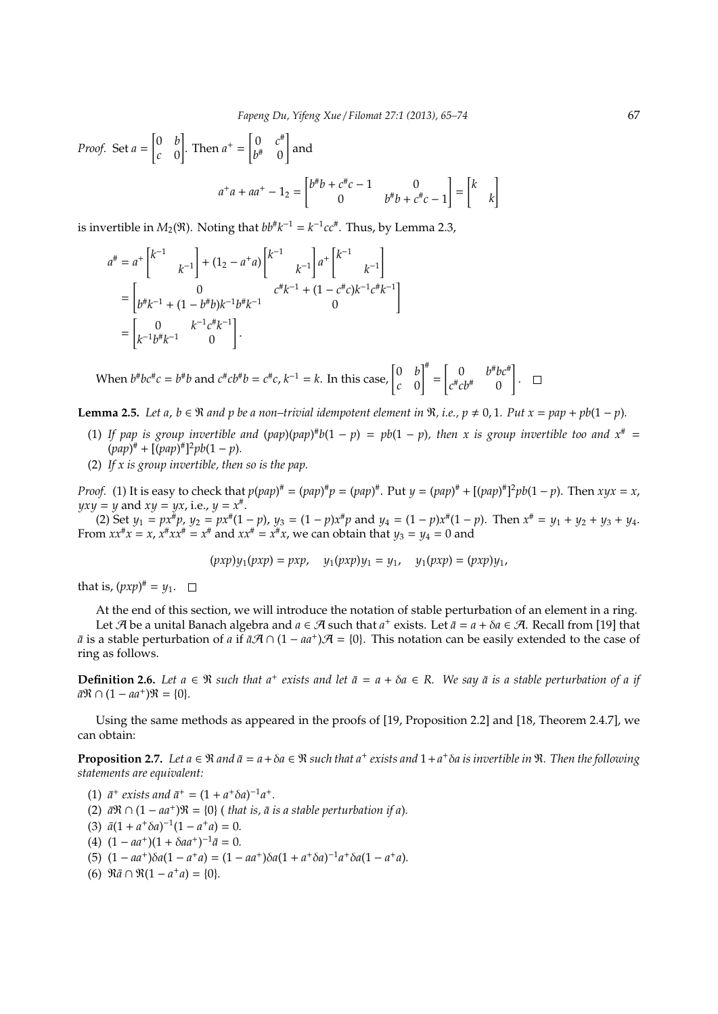*Proof.* Set 
$$
a = \begin{bmatrix} 0 & b \ c & 0 \end{bmatrix}
$$
. Then  $a^+ = \begin{bmatrix} 0 & c^{\#} \\ b^{\#} & 0 \end{bmatrix}$  and  

$$
a^+a + aa^+ - 1_2 = \begin{bmatrix} b^{\#}b + c^{\#}c - 1 & 0 \\ 0 & b^{\#}b + c^{\#}c - 1 \end{bmatrix} = \begin{bmatrix} k \\ k \end{bmatrix}
$$

is invertible in  $M_2(\mathfrak{R})$ . Noting that  $bb^{\#}k^{-1} = k^{-1}cc^{\#}$ . Thus, by Lemma 2.3,

$$
a^{\#} = a^{+} \begin{bmatrix} k^{-1} \\ k^{-1} \end{bmatrix} + (1_{2} - a^{+}a) \begin{bmatrix} k^{-1} \\ k^{-1} \end{bmatrix} a^{+} \begin{bmatrix} k^{-1} \\ k^{-1} \end{bmatrix}
$$

$$
= \begin{bmatrix} 0 & c^{\#}k^{-1} + (1 - c^{\#}c)k^{-1}c^{\#}k^{-1} \\ k^{-1}b^{+}k^{-1} & 0 \end{bmatrix}
$$

$$
= \begin{bmatrix} 0 & k^{-1}c^{\#}k^{-1} \\ k^{-1}b^{\#}k^{-1} & 0 \end{bmatrix}.
$$

 $\mathsf{When} \, b^{\#}b c^{\#}c = b^{\#}b \text{ and } c^{\#}cb^{\#}b = c^{\#}c, k^{-1} = k. \text{ In this case, } \begin{bmatrix} 0 & b \\ c & 0 \end{bmatrix}$ *c* 0 ]# =  $\begin{bmatrix} 0 & b^{\#}bc^{\#} \end{bmatrix}$  $c^{\#}cb^{\#}$  0 ] .

**Lemma 2.5.** Let a,  $b \in \mathbb{R}$  and p be a non–trivial idempotent element in  $\mathbb{R}$ , i.e.,  $p \neq 0, 1$ . Put  $x = pap + pb(1 - p)$ .

- (1) If pap is group invertible and  $(pap)(pap)^*b(1-p) = pb(1-p)$ , then x is group invertible too and  $x^* =$  $(pap)^{\#} + [(pap)^{\#}]^2 pb(1-p).$
- (2) *If x is group invertible, then so is the pap.*

*Proof.* (1) It is easy to check that  $p(pap)^* = (pap)^*p = (pap)^*$ . Put  $y = (pap)^* + [(pap)^*]^2pb(1-p)$ . Then  $xyx = x$ ,  $yxy = y$  and  $xy = yx$ , i.e.,  $y = x^*$ .

(2) Set  $y_1 = px^{\#}p$ ,  $y_2 = px^{\#}(1-p)$ ,  $y_3 = (1-p)x^{\#}p$  and  $y_4 = (1-p)x^{\#}(1-p)$ . Then  $x^{\#} = y_1 + y_2 + y_3 + y_4$ . From  $xx^{\#}x = x$ ,  $x^{\#}xx^{\#} = x^{\#}$  and  $xx^{\#} = x^{\#}x$ , we can obtain that  $y_3 = y_4 = 0$  and

$$
(pxp)y_1(pxp) = pxp, \quad y_1(pxp)y_1 = y_1, \quad y_1(pxp) = (pxp)y_1,
$$

that is,  $(pxp)^{\#} = y_1$ .

At the end of this section, we will introduce the notation of stable perturbation of an element in a ring. Let  $\mathcal A$  be a unital Banach algebra and  $a \in \mathcal A$  such that  $a^+$  exists. Let  $\bar a = a + \delta a \in \mathcal A$ . Recall from [19] that  $\bar{a}$  is a stable perturbation of *a* if  $\bar{a}A \cap (1 - aa^+)A = \{0\}$ . This notation can be easily extended to the case of ring as follows.

**Definition 2.6.** Let  $a \in \Re$  such that  $a^+$  exists and let  $\bar{a} = a + \delta a \in R$ . We say  $\bar{a}$  is a stable perturbation of a if  $\bar{a}\Re \cap (1 - aa^+) \Re = \{0\}.$ 

Using the same methods as appeared in the proofs of [19, Proposition 2.2] and [18, Theorem 2.4.7], we can obtain:

**Proposition 2.7.** Let  $a \in \Re$  and  $\bar{a} = a + \delta a \in \Re$  such that  $a^+$  exists and  $1 + a^+ \delta a$  is invertible in  $\Re$ . Then the following *statements are equivalent:*

(1)  $\bar{a}^+$  exists and  $\bar{a}^+ = (1 + a^+ \delta a)^{-1} a^+$ .

- (2)  $\bar{a}$ R ∩ (1 −  $aa^+$ )R = {0} ( *that is,*  $\bar{a}$  *is a stable perturbation if a*).
- (3)  $\bar{a}(1 + a^+\delta a)^{-1}(1 a^+a) = 0.$
- $(4)$   $(1 aa^+) (1 + \delta aa^+) ^{-1} \bar{a} = 0.$
- (5)  $(1 aa^+) \delta a (1 a^+ a) = (1 aa^+) \delta a (1 + a^+ \delta a)^{-1} a^+ \delta a (1 a^+ a)$ .
- (6)  $\Re \bar{a} \cap \Re(1 a^+a) = \{0\}.$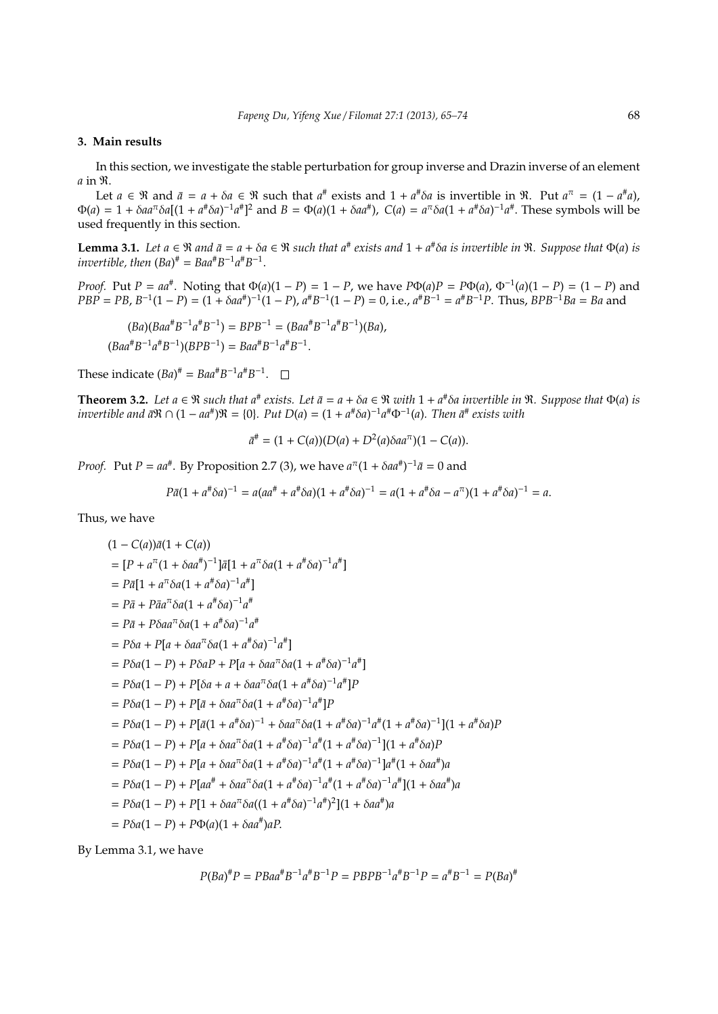## **3. Main results**

In this section, we investigate the stable perturbation for group inverse and Drazin inverse of an element *a* in R.

Let  $a \in \mathfrak{R}$  and  $\bar{a} = a + \delta a \in \mathfrak{R}$  such that  $a^{\#}$  exists and  $1 + a^{\#}\delta a$  is invertible in  $\mathfrak{R}$ . Put  $a^{\pi} = (1 - a^{\#}a)$ ,  $\Phi(a) = 1 + \delta a a^{\pi} \delta a [(1 + a^{\pi} \delta a)^{-1} a^{\pi}]^2$  and  $B = \Phi(a)(1 + \delta a a^{\pi})$ ,  $C(a) = a^{\pi} \delta a (1 + a^{\pi} \delta a)^{-1} a^{\pi}$ . These symbols will be used frequently in this section.

**Lemma 3.1.** Let  $a \in \mathbb{R}$  and  $\bar{a} = a + \delta a \in \mathbb{R}$  such that  $a^*$  exists and  $1 + a^* \delta a$  is invertible in  $\mathbb{R}$ . Suppose that  $\Phi(a)$  is *invertible, then*  $(Ba)^{\#} = Baa^{\#}B^{-1}a^{\#}B^{-1}$ .

*Proof.* Put *P* =  $aa^{\#}$ . Noting that  $\Phi(a)(1 - P) = 1 - P$ , we have  $P\Phi(a)P = P\Phi(a)$ ,  $\Phi^{-1}(a)(1 - P) = (1 - P)$  and  $PBP = PB$ ,  $B^{-1}(1 - P) = (1 + \delta aa^{\#})^{-1}(1 - P)$ ,  $a^{\#}B^{-1}(1 - P) = 0$ , i.e.,  $a^{\#}B^{-1} = a^{\#}B^{-1}P$ . Thus,  $BPB^{-1}Ba = Ba$  and

$$
(Ba)(Baa^{\#}B^{-1}a^{\#}B^{-1}) = BPB^{-1} = (Baa^{\#}B^{-1}a^{\#}B^{-1})(Ba),
$$
  

$$
(Baa^{\#}B^{-1}a^{\#}B^{-1})(BPB^{-1}) = Baa^{\#}B^{-1}a^{\#}B^{-1}.
$$

These indicate  $(Ba)^{\#} = Baa^{\#}B^{-1}a^{\#}B^{-1}$ .

**Theorem 3.2.** Let  $a \in \Re$  such that  $a^{\#}$  exists. Let  $\bar{a} = a + \delta a \in \Re$  with  $1 + a^{\#} \delta a$  invertible in  $\Re$ . Suppose that  $\Phi(a)$  is *invertible and*  $\bar{a}$ *R*  $\cap$  (1 –  $aa^{\#}$ ) $R = \{0\}$ *. Put D*( $a$ ) = (1 +  $a^{\#}\delta a$ )<sup>-1</sup> $a^{\#}\Phi^{-1}(a)$ *. Then*  $\bar{a}^{\#}$  exists with

 $\bar{a}^{\#} = (1 + C(a))(D(a) + D^2(a)\delta a a^{\pi})(1 - C(a)).$ 

*Proof.* Put *P* =  $aa^{\#}$ . By Proposition 2.7 (3), we have  $a^{\pi}(1 + \delta aa^{\#})^{-1}\bar{a} = 0$  and

$$
P\bar{a}(1+a^{\#}\delta a)^{-1} = a(aa^{\#}+a^{\#}\delta a)(1+a^{\#}\delta a)^{-1} = a(1+a^{\#}\delta a - a^{\pi})(1+a^{\#}\delta a)^{-1} = a.
$$

Thus, we have

$$
(1 - C(a))\bar{a}(1 + C(a))
$$
  
\n=  $[P + a^{\pi}(1 + \delta a a^{\#})^{-1}]\bar{a}[1 + a^{\pi}\delta a(1 + a^{\#}\delta a)^{-1}a^{\#}]$   
\n=  $P\bar{a}[1 + a^{\pi}\delta a(1 + a^{\#}\delta a)^{-1}a^{\#}]$   
\n=  $P\bar{a} + P\bar{a}a^{\pi}\delta a(1 + a^{\#}\delta a)^{-1}a^{\#}$   
\n=  $P\bar{a} + P\delta a a^{\pi}\delta a(1 + a^{\#}\delta a)^{-1}a^{\#}$   
\n=  $P\delta a + P[a + \delta a a^{\pi}\delta a(1 + a^{\#}\delta a)^{-1}a^{\#}]$   
\n=  $P\delta a(1 - P) + P\delta a P + P[a + \delta a a^{\pi}\delta a(1 + a^{\#}\delta a)^{-1}a^{\#}]P$   
\n=  $P\delta a(1 - P) + P[\bar{a} + \delta a a^{\pi}\delta a(1 + a^{\#}\delta a)^{-1}a^{\#}]P$   
\n=  $P\delta a(1 - P) + P[\bar{a} + \delta a a^{\pi}\delta a(1 + a^{\#}\delta a)^{-1}a^{\#}]P$   
\n=  $P\delta a(1 - P) + P[\bar{a}(1 + a^{\#}\delta a)^{-1} + \delta a a^{\pi}\delta a(1 + a^{\#}\delta a)^{-1}a^{\#}(1 + a^{\#}\delta a)^{-1}](1 + a^{\#}\delta a)P$   
\n=  $P\delta a(1 - P) + P[a + \delta a a^{\pi}\delta a(1 + a^{\#}\delta a)^{-1}a^{\#}(1 + a^{\#}\delta a)^{-1}a^{\#}(1 + \delta a a^{\#})a$   
\n=  $P\delta a(1 - P) + P[a + \delta a a^{\pi}\delta a(1 + a^{\#}\delta a)^{-1}a^{\#}(1 + a^{\#}\delta a)^{-1}a^{\#}(1 + \delta a a^{\#})a$   
\n=  $P\delta a(1 - P) + P[a + \delta a a^{\pi}\delta a(1 + a^{\#}\delta a)^{-1}a^{\#}(1 + a^{\#}\delta a)^{-1}a^{\#}(1 + \delta a a^{\$ 

By Lemma 3.1, we have

$$
P(Ba)^{\#}P = PBaa^{\#}B^{-1}a^{\#}B^{-1}P = PBPB^{-1}a^{\#}B^{-1}P = a^{\#}B^{-1} = P(Ba)^{\#}
$$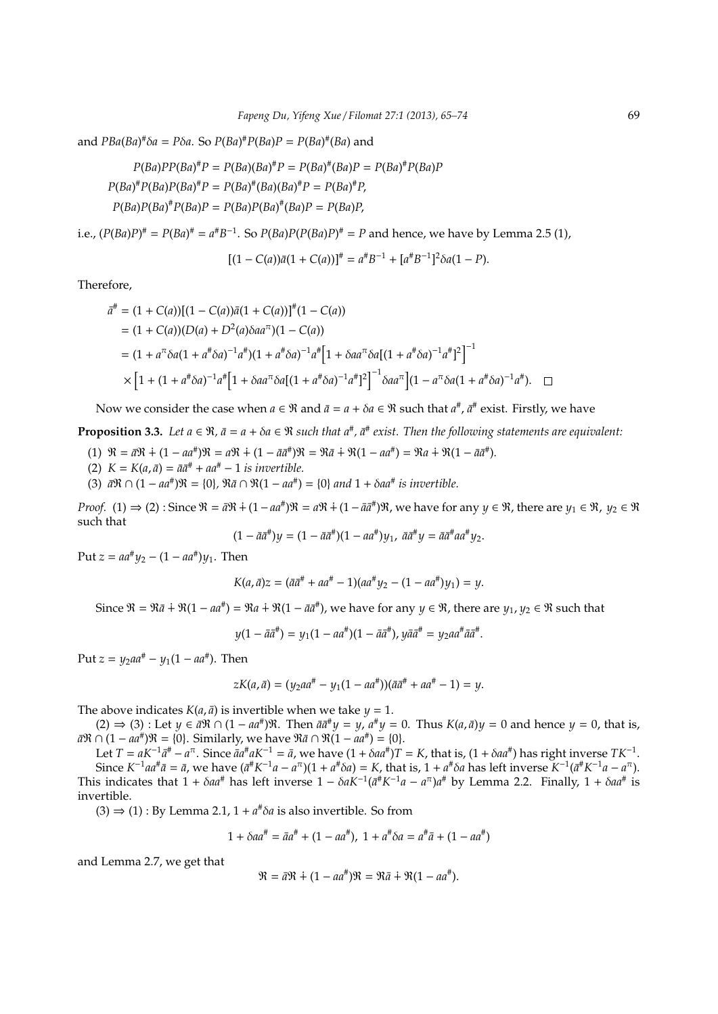and *PBa*(*Ba*) #δ*a* = *P*δ*a*. So *P*(*Ba*) #*P*(*Ba*)*P* = *P*(*Ba*) # (*Ba*) and

 $P(Ba)PP(Ba)^{\#}P = P(Ba)(Ba)^{\#}P = P(Ba)^{\#}(Ba)P = P(Ba)^{\#}P(Ba)P$  $P(Ba)^{\#}P(Ba)P(Ba)^{\#}P = P(Ba)^{\#}(Ba)(Ba)^{\#}P = P(Ba)^{\#}P$  $P(Ba)P(Ba)^{\#}P(Ba)P = P(Ba)P(Ba)^{\#}(Ba)P = P(Ba)P$ 

i.e.,  $(P(Ba)P)^{\#} = P(Ba)^{\#} = a^{\#}B^{-1}$ . So  $P(Ba)P(P(Ba)P)^{\#} = P$  and hence, we have by Lemma 2.5 (1),

$$
[(1 - C(a))\bar{a}(1 + C(a))]^{\dagger} = a^{\dagger}B^{-1} + [a^{\dagger}B^{-1}]^2 \delta a(1 - P).
$$

Therefore,

$$
\bar{a}^{\#} = (1 + C(a))[(1 - C(a))\bar{a}(1 + C(a))]^{\#}(1 - C(a))
$$
\n
$$
= (1 + C(a))(D(a) + D^{2}(a)\delta a a^{\pi})(1 - C(a))
$$
\n
$$
= (1 + a^{\pi}\delta a(1 + a^{\pi}\delta a)^{-1}a^{\pi})(1 + a^{\pi}\delta a)^{-1}a^{\pi}[1 + \delta a a^{\pi}\delta a[(1 + a^{\pi}\delta a)^{-1}a^{\pi}]^{2}]^{-1}
$$
\n
$$
\times [1 + (1 + a^{\pi}\delta a)^{-1}a^{\pi}[1 + \delta a a^{\pi}\delta a[(1 + a^{\pi}\delta a)^{-1}a^{\pi}]^{2}]^{-1}\delta a a^{\pi}[(1 - a^{\pi}\delta a(1 + a^{\pi}\delta a)^{-1}a^{\pi}). \quad \Box
$$

Now we consider the case when  $a \in \Re$  and  $\bar{a} = a + \delta a \in \Re$  such that  $a^\#$ ,  $\bar{a}^\#$  exist. Firstly, we have

**Proposition 3.3.** Let  $a \in \mathbb{R}$ ,  $\bar{a} = a + \delta a \in \mathbb{R}$  such that  $a^{\#}$ ,  $\bar{a}^{\#}$  exist. Then the following statements are equivalent:

- $(1) \Re = \bar{a}\Re + (1 aa^{\#})\Re = a\Re + (1 \bar{a}\bar{a}^{\#})\Re = \Re \bar{a} + \Re(1 aa^{\#}) = \Re a + \Re(1 \bar{a}\bar{a}^{\#}).$
- $(K = K(a, \bar{a}) = \bar{a}\bar{a}^{\#} + a\bar{a}^{\#} 1$  *is invertible.*
- (3)  $\bar{a}R \cap (1 aa^{\#})R = \{0\}$ ,  $\Re \bar{a} \cap \Re(1 aa^{\#}) = \{0\}$  and  $1 + \delta aa^{\#}$  is invertible.

*Proof.* (1) ⇒ (2): Since  $\Re = \bar{a}\Re + (1 - a\bar{a}^*)\Re = a\Re + (1 - \bar{a}\bar{a}^*)\Re$ , we have for any  $y \in \Re$ , there are  $y_1 \in \Re$ ,  $y_2 \in \Re$ such that

$$
(1 - \bar{a}\bar{a}^{\#})y = (1 - \bar{a}\bar{a}^{\#})(1 - a a^{\#})y_1, \ \bar{a}\bar{a}^{\#}y = \bar{a}\bar{a}^{\#}a a^{\#}y_2.
$$

 $Put z = aa^{\#}y_2 - (1 - aa^{\#})y_1.$  Then

$$
K(a, \bar{a})z = (\bar{a}\bar{a}^{\#} + a\bar{a}^{\#} - 1)(aa^{\#}y_2 - (1 - a\bar{a}^{\#})y_1) = y.
$$

Since  $\mathfrak{R} = \mathfrak{R}\bar{a} + \mathfrak{R}(1 - a a^{\#}) = \mathfrak{R}a + \mathfrak{R}(1 - \bar{a} \bar{a}^{\#})$ , we have for any  $y \in \mathfrak{R}$ , there are  $y_1, y_2 \in \mathfrak{R}$  such that

*y*(1 −  $\bar{a}\bar{a}^{\#}$ ) =  $y_1$ (1 −  $a a^{\#}$ )(1 −  $\bar{a}\bar{a}^{\#}$ ),  $y\bar{a}\bar{a}^{\#}$  =  $y_2 a a^{\#} \bar{a}\bar{a}^{\#}$ .

 $Put z = y_2aa^{\#} - y_1(1 - aa^{\#})$ . Then

$$
zK(a,\bar{a})=(y_2aa^{\#}-y_1(1-aa^{\#}))(\bar{a}\bar{a}^{\#}+aa^{\#}-1)=y.
$$

The above indicates  $K(a, \bar{a})$  is invertible when we take  $y = 1$ .

 $(2)$  ⇒  $(3)$  : Let *y* ∈  $\bar{a}$ R ∩  $(1 - aa^*)$ R. Then  $\bar{aa}^*y = y$ ,  $a^*y = 0$ . Thus  $K(a,\bar{a})y = 0$  and hence *y* = 0, that is, *a*R ∩ (1 − *aa*<sup>#</sup>)R = {0}. Similarly, we have R*ā* ∩ R(1 − *aa*<sup>#</sup>) = {0}.

Let  $T = aK^{-1}a^{\#} - a^{\pi}$ . Since  $\bar{a}a^{\#}aK^{-1} = \bar{a}$ , we have  $(1 + \delta aa^{\#})T = K$ , that is,  $(1 + \delta aa^{\#})$  has right inverse  $TK^{-1}$ . Since  $K^{-1}aa^{\#}\bar{a}=\bar{a}$ , we have  $(\bar{a}^{\#}K^{-1}a-a^{\pi})(1+a^{\#}\delta a)=K$ , that is,  $1+a^{\#}\delta a$  has left inverse  $K^{-1}(\bar{a}^{\#}K^{-1}a-a^{\pi})$ . This indicates that  $1 + \delta a a^{\#}$  has left inverse  $1 - \delta a K^{-1} (\bar{a}^{\#} K^{-1} a - a^{\pi}) a^{\#}$  by Lemma 2.2. Finally,  $1 + \delta a a^{\#}$  is invertible.

 $(3) \Rightarrow (1) : By Lemma 2.1, 1 + a^* \delta a$  is also invertible. So from

$$
1 + \delta a a^{\#} = \bar{a} a^{\#} + (1 - a a^{\#}), \ 1 + a^{\#} \delta a = a^{\#} \bar{a} + (1 - a a^{\#})
$$

and Lemma 2.7, we get that

$$
\mathfrak{R} = \bar{a}\mathfrak{R} + (1 - aa^{\#})\mathfrak{R} = \mathfrak{R}\bar{a} + \mathfrak{R}(1 - aa^{\#}).
$$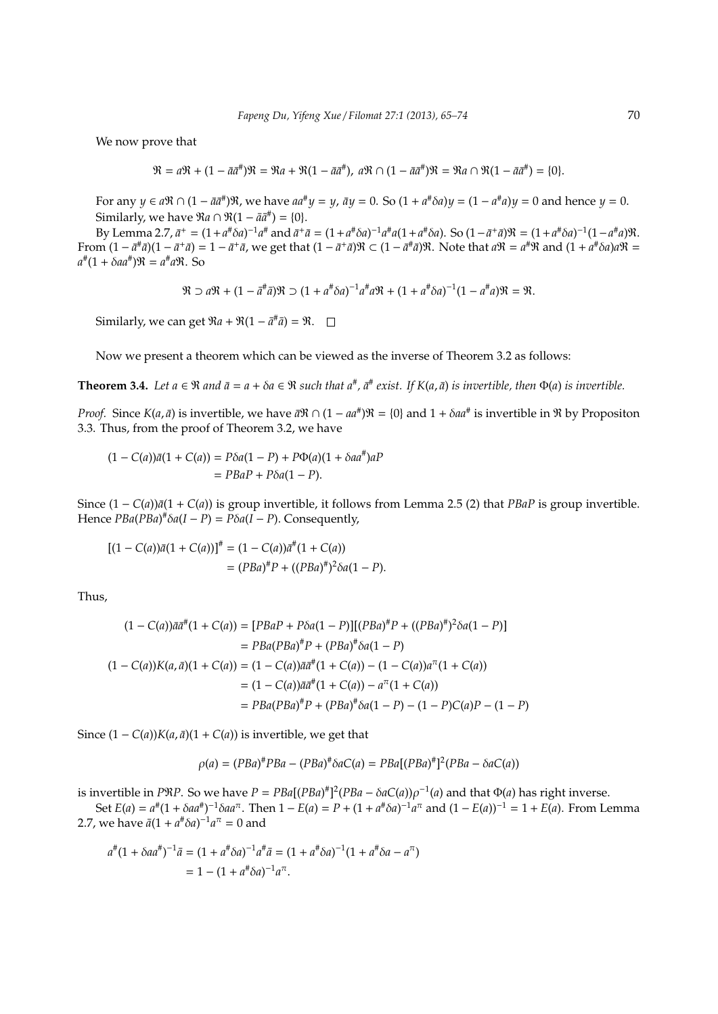We now prove that

$$
\mathfrak{R}=a\mathfrak{R}+(1-\bar{a}\bar{a}^{\#})\mathfrak{R}=\mathfrak{R}a+\mathfrak{R}(1-\bar{a}\bar{a}^{\#}),\ a\mathfrak{R}\cap(1-\bar{a}\bar{a}^{\#})\mathfrak{R}=\mathfrak{R}a\cap\mathfrak{R}(1-\bar{a}\bar{a}^{\#})=\{0\}.
$$

For any  $y \in a\Re \cap (1 - \bar{a} \bar{a}^{\#})\Re$ , we have  $aa^{\#}y = y$ ,  $\bar{a}y = 0$ . So  $(1 + a^{\#}\delta a)y = (1 - a^{\#}a)y = 0$  and hence  $y = 0$ . Similarly, we have  $\Re a \cap \Re(1 - \bar{a} \bar{a}^{\#}) = \{0\}.$ 

By Lemma 2.7,  $\bar{a}^+ = (1 + a^{\#} \delta a)^{-1} a^{\#}$  and  $\bar{a}^+ \bar{a} = (1 + a^{\#} \delta a)^{-1} a^{\#} a (1 + a^{\#} \delta a)$ . So  $(1 - \bar{a}^+ \bar{a}) \Re = (1 + a^{\#} \delta a)^{-1} (1 - a^{\#} a) \Re$ . From  $(1-\bar{a}^{\#}\bar{a})(1-\bar{a}^{\#}\bar{a})=1-\bar{a}^{\#}\bar{a}$ , we get that  $(1-\bar{a}^{\#}\bar{a})\Re\subset (1-\bar{a}^{\#}\bar{a})\Re$ . Note that  $a\Re=a^{\#}\Re$  and  $(1+a^{\#}\delta a)a\Re=1$  $a^{\#}(1 + \delta a a^{\#})\Re = a^{\#} a \Re$ . So

$$
\mathfrak{R} \supset a\mathfrak{R} + (1 - \bar{a}^{\#}\bar{a})\mathfrak{R} \supset (1 + a^{\#}\delta a)^{-1}a^{\#}a\mathfrak{R} + (1 + a^{\#}\delta a)^{-1}(1 - a^{\#}a)\mathfrak{R} = \mathfrak{R}.
$$

Similarly, we can get  $\Re a + \Re(1 - \bar{a}^{\#}\bar{a}) = \Re$ .

Now we present a theorem which can be viewed as the inverse of Theorem 3.2 as follows:

**Theorem 3.4.** Let  $a \in \Re$  and  $\bar{a} = a + \delta a \in \Re$  such that  $a^{\#}$ ,  $\bar{a}^{\#}$  exist. If  $K(a, \bar{a})$  is invertible, then  $\Phi(a)$  is invertible.

*Proof.* Since  $K(a, \bar{a})$  is invertible, we have  $\bar{a}$ R ∩ (1 –  $aa^*$ )R = {0} and 1 +  $\delta aa^*$  is invertible in R by Propositon 3.3. Thus, from the proof of Theorem 3.2, we have

$$
(1 - C(a))\bar{a}(1 + C(a)) = P\delta a(1 - P) + P\Phi(a)(1 + \delta a a^*)aP
$$

$$
= PBaP + P\delta a(1 - P).
$$

Since  $(1 - C(a))\bar{a}(1 + C(a))$  is group invertible, it follows from Lemma 2.5 (2) that *PBaP* is group invertible. Hence  $PBa(PBa)^*$ *δa*( $I - P$ ) =  $P\delta a(I - P)$ . Consequently,

$$
[(1 - C(a))\bar{a}(1 + C(a))]^{\#} = (1 - C(a))\bar{a}^{\#}(1 + C(a))
$$
  
=  $(PBa)^{\#}P + ((PBa)^{\#})^2\delta a(1 - P).$ 

Thus,

$$
(1 - C(a))\bar{a}\bar{a}^{\#}(1 + C(a)) = [PBaP + P\delta a(1 - P)][(PBa)^{\#}P + ((PBa)^{\#})^{2}\delta a(1 - P)]
$$
  
\n
$$
= PBa(PBa)^{\#}P + (PBa)^{\#}\delta a(1 - P)
$$
  
\n
$$
(1 - C(a))K(a, \bar{a})(1 + C(a)) = (1 - C(a))\bar{a}\bar{a}^{\#}(1 + C(a)) - (1 - C(a))a^{\pi}(1 + C(a))
$$
  
\n
$$
= (1 - C(a))\bar{a}\bar{a}^{\#}(1 + C(a)) - a^{\pi}(1 + C(a))
$$
  
\n
$$
= PBa(PBa)^{\#}P + (PBa)^{\#}\delta a(1 - P) - (1 - P)C(a)P - (1 - P)
$$

Since  $(1 - C(a))K(a, \bar{a})(1 + C(a))$  is invertible, we get that

#

$$
\rho(a) = (PBa)^{\#}PBa - (PBa)^{\#}\delta aC(a) = PBa[(PBa)^{\#}]^{2}(PBa - \delta aC(a))
$$

is invertible in *PRP*. So we have  $P = PBa[(PBa)^*]^2(PBa - \delta aC(a))\rho^{-1}(a)$  and that  $\Phi(a)$  has right inverse.

Set  $E(a) = a^{\#}(1 + \delta aa^{\#})^{-1} \delta aa^{\pi}$ . Then  $1 - E(a) = P + (1 + a^{\#} \delta a)^{-1} a^{\pi}$  and  $(1 - E(a))^{-1} = 1 + E(a)$ . From Lemma 2.7, we have  $\bar{a}(1 + a^{\#}\delta a)^{-1}a^{\pi} = 0$  and

$$
a^{\#}(1 + \delta a a^{\#})^{-1}\bar{a} = (1 + a^{\#}\delta a)^{-1}a^{\#}\bar{a} = (1 + a^{\#}\delta a)^{-1}(1 + a^{\#}\delta a - a^{\pi})
$$
  
= 1 - (1 + a^{\#}\delta a)^{-1}a^{\pi}.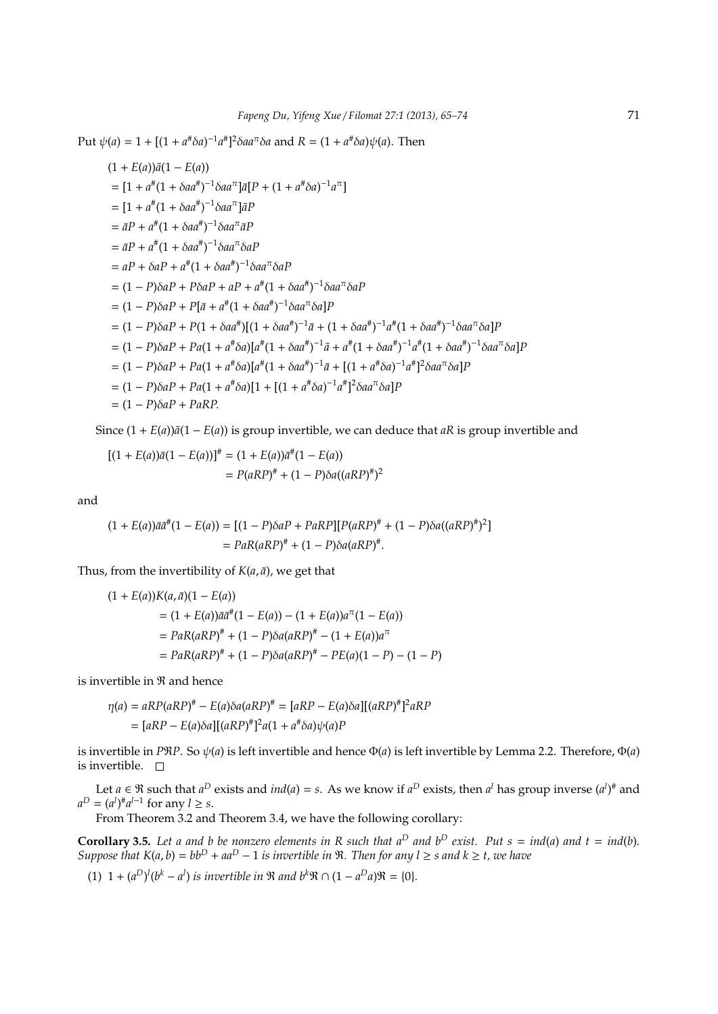$Put ψ(a) = 1 + [(1 + a<sup>#</sup>δa)<sup>-1</sup> a<sup>#</sup>]<sup>2</sup>δa a<sup>π</sup>δa and R = (1 + a<sup>#</sup>δa)ψ(a). Then$ 

$$
(1 + E(a))\bar{a}(1 - E(a))
$$
  
\n=  $[1 + a^{\#}(1 + \delta a a^{\#})^{-1}\delta a a^{\pi}] \bar{a}[P + (1 + a^{\#}\delta a)^{-1}a^{\pi}]$   
\n=  $[1 + a^{\#}(1 + \delta a a^{\#})^{-1}\delta a a^{\pi}] \bar{a}P$   
\n=  $\bar{a}P + a^{\#}(1 + \delta a a^{\#})^{-1}\delta a a^{\pi} \delta aP$   
\n=  $aP + \delta aP + a^{\#}(1 + \delta a a^{\#})^{-1}\delta a a^{\pi} \delta aP$   
\n=  $(1 - P)\delta aP + P\delta aP + aP + a^{\#}(1 + \delta a a^{\#})^{-1}\delta a a^{\pi} \delta aP$   
\n=  $(1 - P)\delta aP + P[\bar{a} + a^{\#}(1 + \delta a a^{\#})^{-1}\delta a a^{\pi} \delta a]P$   
\n=  $(1 - P)\delta aP + P(1 + \delta a a^{\#})[(1 + \delta a a^{\#})^{-1}\bar{a} + (1 + \delta a a^{\#})^{-1}a^{\#}(1 + \delta a a^{\#})^{-1}\delta a a^{\pi} \delta a]P$   
\n=  $(1 - P)\delta aP + Pa(1 + a^{\#}\delta a)[a^{\#}(1 + \delta a a^{\#})^{-1}\bar{a} + a^{\#}(1 + \delta a a^{\#})^{-1}a^{\#}(1 + \delta a a^{\#})^{-1}\delta a a^{\pi} \delta a]P$   
\n=  $(1 - P)\delta aP + Pa(1 + a^{\#}\delta a)[a^{\#}(1 + \delta a a^{\#})^{-1}\bar{a} + [(1 + a^{\#}\delta a)^{-1}a^{\#}]^{2}\delta a a^{\pi} \delta a]P$   
\n=  $(1 - P)\delta aP + Pa(1 + a^{\#}\delta a)[1 + [(1 + a^{\#}\delta a)^{-1}a^{\#}]^{2}\delta a a^{\pi} \delta a]P$   
\n=  $(1 - P)\delta aP + Pa\delta P$ .

Since  $(1 + E(a))\overline{a}(1 - E(a))$  is group invertible, we can deduce that *aR* is group invertible and

$$
[(1 + E(a))\bar{a}(1 - E(a))]^{\#} = (1 + E(a))\bar{a}^{\#}(1 - E(a))
$$
  
=  $P(aRP)^{\#} + (1 - P)\delta a((aRP)^{\#})^2$ 

and

$$
(1 + E(a))\bar{a}\bar{a}^{\#}(1 - E(a)) = [(1 - P)\delta aP + PaRP][P(aRP)^{\#} + (1 - P)\delta a((aRP)^{\#})^2]
$$
  
=  $PaR(aRP)^{\#} + (1 - P)\delta a(aRP)^{\#}.$ 

Thus, from the invertibility of  $K(a, \bar{a})$ , we get that

$$
(1 + E(a))K(a, \bar{a})(1 - E(a))
$$
  
= (1 + E(a))\bar{a}\bar{a}^+(1 - E(a)) - (1 + E(a))a^-(1 - E(a))  
= PaR(aRP)^\* + (1 - P)\delta a(aRP)^\* - (1 + E(a))a^-(1 - P)  
= PaR(aRP)^\* + (1 - P)\delta a(aRP)^\* - PE(a)(1 - P) - (1 - P)

is invertible in R and hence

$$
\eta(a) = aRP(aRP)^* - E(a)\delta a(aRP)^* = [aRP - E(a)\delta a][(aRP)^*]^2 aRP
$$

$$
= [aRP - E(a)\delta a][(aRP)^*]^2 a(1 + a^* \delta a)\psi(a)P
$$

is invertible in *P*R*P*. So ψ(*a*) is left invertible and hence Φ(*a*) is left invertible by Lemma 2.2. Therefore, Φ(*a*) is invertible.  $\Box$ 

Let  $a \in \Re$  such that  $a^D$  exists and  $ind(a) = s$ . As we know if  $a^D$  exists, then  $a^l$  has group inverse  $(a^l)^{\#}$  and  $a^D = (a^l)^{\#} a^{l-1}$  for any  $l \geq s$ .

From Theorem 3.2 and Theorem 3.4, we have the following corollary:

**Corollary 3.5.** Let a and b be nonzero elements in R such that  $a^D$  and  $b^D$  exist. Put  $s = ind(a)$  and  $t = ind(b)$ . *Suppose that*  $K(a, b) = bb^D + aa^D - 1$  *is invertible in* R. Then for any  $l \geq s$  and  $k \geq t$ , we have

(1)  $1 + (a^D)^l (b^k - a^l)$  *is invertible in* R *and*  $b^k \Re \cap (1 - a^D a) \Re = \{0\}.$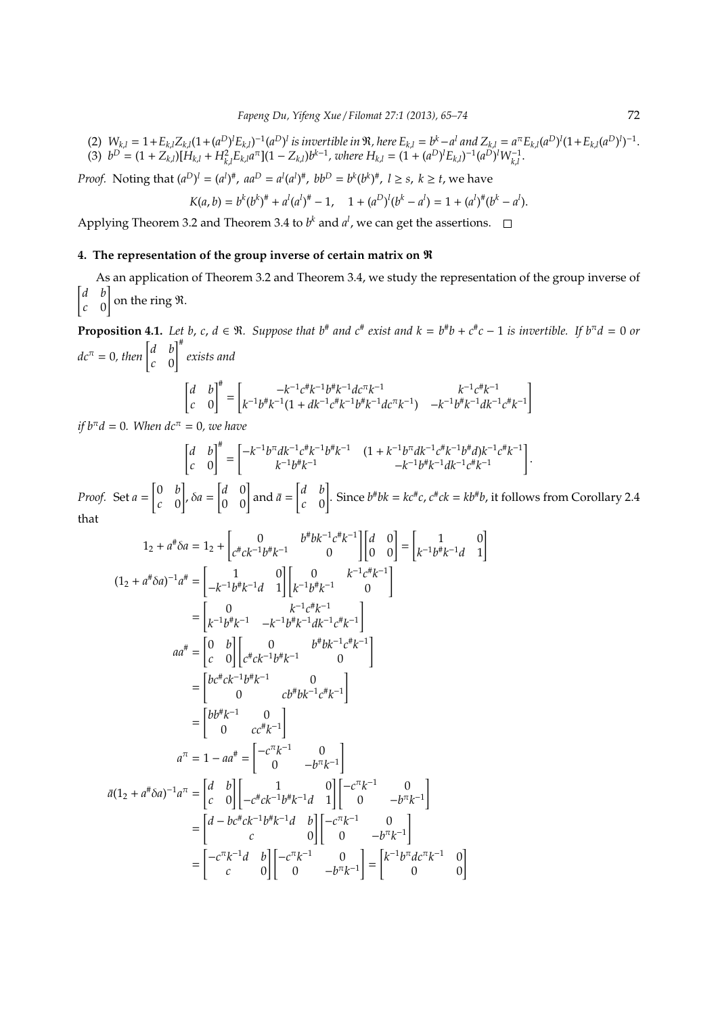(2)  $W_{k,l} = 1 + E_{k,l} Z_{k,l} (1 + (a^D)^l E_{k,l})^{-1} (a^D)^l$  is invertible in  $\Re$ , here  $E_{k,l} = b^k - a^l$  and  $Z_{k,l} = a^{\pi} E_{k,l} (a^D)^l (1 + E_{k,l} (a^D)^l)^{-1}$ . (3)  $b^D = (1 + Z_{k,l})[H_{k,l} + H_{k,l}^2 E_{k,l} a^{\pi}] (1 - Z_{k,l}) b^{k-1}$ , where  $H_{k,l} = (1 + (a^D)^l E_{k,l})^{-1} (a^D)^l W_{k,l}^{-1}$ .

*Proof.* Noting that  $(a^D)^l = (a^l)^{\#}$ ,  $aa^D = a^l (a^l)^{\#}$ ,  $bb^D = b^k (b^k)^{\#}$ ,  $l \geq s$ ,  $k \geq t$ , we have

$$
K(a,b) = b^{k}(b^{k})^{\#} + a^{l}(a^{l})^{\#} - 1, \quad 1 + (a^{D})^{l}(b^{k} - a^{l}) = 1 + (a^{l})^{\#}(b^{k} - a^{l}).
$$

Applying Theorem 3.2 and Theorem 3.4 to  $b^k$  and  $a^l$ , we can get the assertions.

## **4. The representation of the group inverse of certain matrix on** R

As an application of Theorem 3.2 and Theorem 3.4, we study the representation of the group inverse of [ *d b c* 0 ] on the ring R.

**Proposition 4.1.** Let b, c,  $d \in \mathbb{R}$ . Suppose that  $b^*$  and  $c^*$  exist and  $k = b^*b + c^*c - 1$  is invertible. If  $b^{\pi}d = 0$  or  $dc^{\pi} = 0$ , then  $\begin{bmatrix} d & b \\ c & 0 \end{bmatrix}$ *c* 0 ]# *exists and*  $\begin{bmatrix} d & b \end{bmatrix}^{\#}$  $\overline{a}$  $-k^{-1}c^{\#}k^{-1}b^{\#}k^{-1}dc^{\pi}k^{-1}$ −1 # −1 ]

$$
\begin{bmatrix} d & b \\ c & 0 \end{bmatrix}^n = \begin{bmatrix} -k^{-1}c^{\#}k^{-1}b^{\#}k^{-1}dc^{\pi}k^{-1} & k^{-1}c^{\#}k^{-1} \\ k^{-1}b^{\#}k^{-1}(1+dk^{-1}c^{\#}k^{-1}b^{\#}k^{-1}dc^{\pi}k^{-1}) & -k^{-1}b^{\#}k^{-1}dk^{-1}c^{\#}k^{-1} \end{bmatrix}
$$

*if*  $b<sup>\pi</sup>d = 0$ *. When*  $dc<sup>\pi</sup> = 0$ *, we have* 

$$
\begin{bmatrix} d & b \\ c & 0 \end{bmatrix}^{\#} = \begin{bmatrix} -k^{-1}b^{\pi}dk^{-1}c^{\#}k^{-1}b^{\#}k^{-1} & (1 + k^{-1}b^{\pi}dk^{-1}c^{\#}k^{-1}b^{\#}d)k^{-1}c^{\#}k^{-1} \\ k^{-1}b^{\#}k^{-1} & -k^{-1}b^{\#}k^{-1}dk^{-1}c^{\#}k^{-1} \end{bmatrix}
$$

*Proof.* Set *a* = [ 0 *b c* 0 ] , δ*a* =  $\begin{bmatrix} d & 0 \\ 0 & 0 \end{bmatrix}$  and  $\bar{a} =$ [ *d b c* 0 ] . Since  $b^{\#}bk = kc^{\#}c$ ,  $c^{\#}ck = kb^{\#}b$ , it follows from Corollary 2.4 that

1<sup>2</sup> + *a* # δ*a* = 1<sup>2</sup> + [ 0 *b* # *bk*<sup>−</sup><sup>1</sup> *c* # *k* −1 *c* # *ck*<sup>−</sup><sup>1</sup> *b* # *k* <sup>−</sup><sup>1</sup> 0 ] [*d* 0 0 0] = [ 1 0 *k* −1 *b* # *k* <sup>−</sup><sup>1</sup>*d* 1 ] (1<sup>2</sup> + *a* # δ*a*) −1 *a* # = [ 1 0 −*k* −1 *b* # *k* <sup>−</sup><sup>1</sup>*d* 1 ] [ 0 *k* −1 *c* # *k* −1 *k* −1 *b* # *k* <sup>−</sup><sup>1</sup> 0 ] = [ 0 *k* −1 *c* # *k* −1 *k* −1 *b* # *k* <sup>−</sup><sup>1</sup> −*k* −1 *b* # *k* <sup>−</sup><sup>1</sup>*dk*<sup>−</sup><sup>1</sup> *c* # *k* −1 ] *aa*# = [ 0 *b c* 0 ] [ 0 *b* # *bk*<sup>−</sup><sup>1</sup> *c* # *k* −1 *c* # *ck*<sup>−</sup><sup>1</sup> *b* # *k* <sup>−</sup><sup>1</sup> 0 ] = [ *bc*# *ck*<sup>−</sup><sup>1</sup> *b* # *k* <sup>−</sup><sup>1</sup> 0 0 *cb*# *bk*<sup>−</sup><sup>1</sup> *c* # *k* −1 ] = [ *bb*# *k* <sup>−</sup><sup>1</sup> 0 0 *cc*# *k* −1 ] *a* <sup>π</sup> = 1 − *aa*# = [ −*c* π *k* <sup>−</sup><sup>1</sup> 0 0 −*b* π *k* −1 ] *a*¯(1<sup>2</sup> + *a* # δ*a*) −1 *a* <sup>π</sup> = [ *d b c* 0 ] [ 1 0 −*c* # *ck*<sup>−</sup><sup>1</sup> *b* # *k* <sup>−</sup><sup>1</sup>*d* 1 ] [−*c* π *k* <sup>−</sup><sup>1</sup> 0 0 −*b* π *k* −1 ] = [ *d* − *bc*# *ck*<sup>−</sup><sup>1</sup> *b* # *k* <sup>−</sup><sup>1</sup>*d b c* 0 ] [−*c* π *k* <sup>−</sup><sup>1</sup> 0 0 −*b* π *k* −1 ] = [ −*c* π *k* <sup>−</sup><sup>1</sup>*d b c* 0 ] [−*c* π *k* <sup>−</sup><sup>1</sup> 0 0 −*b* π *k* −1 ] = [ *k* −1 *b* <sup>π</sup>*dc*<sup>π</sup> *k* <sup>−</sup><sup>1</sup> 0 0 0 ]

.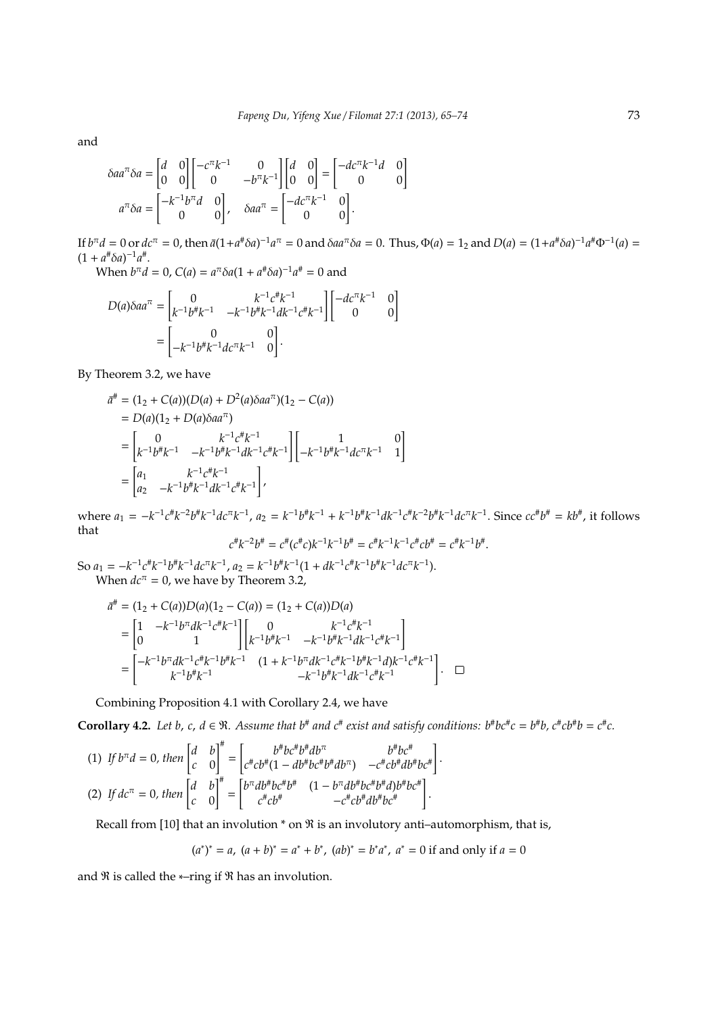and

$$
\delta aa^{\pi} \delta a = \begin{bmatrix} d & 0 \\ 0 & 0 \end{bmatrix} \begin{bmatrix} -c^{\pi}k^{-1} & 0 \\ 0 & -b^{\pi}k^{-1} \end{bmatrix} \begin{bmatrix} d & 0 \\ 0 & 0 \end{bmatrix} = \begin{bmatrix} -dc^{\pi}k^{-1}d & 0 \\ 0 & 0 \end{bmatrix}
$$

$$
a^{\pi} \delta a = \begin{bmatrix} -k^{-1}b^{\pi}d & 0 \\ 0 & 0 \end{bmatrix}, \quad \delta aa^{\pi} = \begin{bmatrix} -dc^{\pi}k^{-1} & 0 \\ 0 & 0 \end{bmatrix}.
$$

If  $b^{\pi}d = 0$  or  $dc^{\pi} = 0$ , then  $\bar{a}(1 + a^{\#}\delta a)^{-1}a^{\pi} = 0$  and  $\delta aa^{\pi}\delta a = 0$ . Thus,  $\Phi(a) = 1_2$  and  $D(a) = (1 + a^{\#}\delta a)^{-1}a^{\#}\Phi^{-1}(a) =$  $(1 + a^{\#}\delta a)^{-1}a^{\#}.$ 

When  $b^{\pi}d = 0$ ,  $C(a) = a^{\pi}\delta a(1 + a^{\#}\delta a)^{-1}a^{\#} = 0$  and

$$
D(a)\delta aa^{\pi} = \begin{bmatrix} 0 & k^{-1}c^{\#}k^{-1} \\ k^{-1}b^{\#}k^{-1} & -k^{-1}b^{\#}k^{-1}dk^{-1}c^{\#}k^{-1} \end{bmatrix} \begin{bmatrix} -dc^{\pi}k^{-1} & 0 \\ 0 & 0 \end{bmatrix}
$$

$$
= \begin{bmatrix} 0 & 0 \\ -k^{-1}b^{\#}k^{-1}dc^{\pi}k^{-1} & 0 \end{bmatrix}.
$$

By Theorem 3.2, we have

$$
\bar{a}^{\#} = (1_2 + C(a))(D(a) + D^2(a)\delta a a^{\pi})(1_2 - C(a))
$$
  
=  $D(a)(1_2 + D(a)\delta a a^{\pi})$   
=  $\begin{bmatrix} 0 & k^{-1}c^{\#}k^{-1} \\ k^{-1}b^{\#}k^{-1} & -k^{-1}b^{\#}k^{-1}dk^{-1}c^{\#}k^{-1} \end{bmatrix} \begin{bmatrix} 1 & 0 \\ -k^{-1}b^{\#}k^{-1}dc^{\pi}k^{-1} & 1 \end{bmatrix}$   
=  $\begin{bmatrix} a_1 & k^{-1}c^{\#}k^{-1} \\ a_2 & -k^{-1}b^{\#}k^{-1}dk^{-1}c^{\#}k^{-1} \end{bmatrix}$ ,

where  $a_1 = -k^{-1}c^{\#}k^{-2}b^{\#}k^{-1}dc^{\pi}k^{-1}$ ,  $a_2 = k^{-1}b^{\#}k^{-1} + k^{-1}b^{\#}k^{-1}dk^{-1}c^{\#}k^{-2}b^{\#}k^{-1}dc^{\pi}k^{-1}$ . Since  $cc^{\#}b^{\#} = kb^{\#}$ , it follows that

$$
c^{\#}k^{-2}b^{\#} = c^{\#}(c^{\#}c)k^{-1}k^{-1}b^{\#} = c^{\#}k^{-1}k^{-1}c^{\#}cb^{\#} = c^{\#}k^{-1}b^{\#}.
$$

So  $a_1 = -k^{-1}c^{\#}k^{-1}b^{\#}k^{-1}dc^{\pi}k^{-1}$ ,  $a_2 = k^{-1}b^{\#}k^{-1}(1 + dk^{-1}c^{\#}k^{-1}b^{\#}k^{-1}dc^{\pi}k^{-1})$ . When  $dc^{\pi} = 0$ , we have by Theorem 3.2,

$$
\bar{a}^{\#} = (1_2 + C(a))D(a)(1_2 - C(a)) = (1_2 + C(a))D(a)
$$
\n
$$
= \begin{bmatrix} 1 & -k^{-1}b^{\pi}dk^{-1}c^{\#}k^{-1} \\ 0 & 1 \end{bmatrix} \begin{bmatrix} 0 & k^{-1}c^{\#}k^{-1} \\ k^{-1}b^{\#}k^{-1} & -k^{-1}b^{\#}k^{-1}dk^{-1}c^{\#}k^{-1} \end{bmatrix}
$$
\n
$$
= \begin{bmatrix} -k^{-1}b^{\pi}dk^{-1}c^{\#}k^{-1}b^{\#}k^{-1} & (1 + k^{-1}b^{\pi}dk^{-1}c^{\#}k^{-1}b^{\#}k^{-1}d)k^{-1}c^{\#}k^{-1} \\ k^{-1}b^{\#}k^{-1} & -k^{-1}b^{\#}k^{-1}dk^{-1}c^{\#}k^{-1} \end{bmatrix}.
$$

Combining Proposition 4.1 with Corollary 2.4, we have

**Corollary 4.2.** Let b, c,  $d \in \mathbb{R}$ . Assume that  $b^{\#}$  and  $c^{\#}$  exist and satisfy conditions:  $b^{\#}bc^{\#}c = b^{\#}b$ ,  $c^{\#}cb^{\#}b = c^{\#}c$ .

(1) *If b*<sup>π</sup>*<sup>d</sup>* <sup>=</sup> <sup>0</sup>*, then* [ *d b c* 0 ]# = [ *b* # *bc*# *b* #*db*<sup>π</sup> *b* # *bc*# *c* # *cb*# (1 − *db*# *bc*# *b* #*db*<sup>π</sup> ) −*c* # *cb*#*db*# *bc*# ] . (2) *If dc*<sup>π</sup> <sup>=</sup> <sup>0</sup>*, then* [ *d b c* 0 ]# = [ *b* <sup>π</sup>*db*# *bc*# *b* # (1 − *b* <sup>π</sup>*db*# *bc*# *b* #*d*)*b* # *bc*# *c* # *cb*# −*c* # *cb*#*db*# *bc*# ] .

Recall from [10] that an involution  $*$  on  $\Re$  is an involutory anti-automorphism, that is,

$$
(a^*)^* = a
$$
,  $(a + b)^* = a^* + b^*$ ,  $(ab)^* = b^*a^*$ ,  $a^* = 0$  if and only if  $a = 0$ 

and  $\Re$  is called the  $*$ –ring if  $\Re$  has an involution.